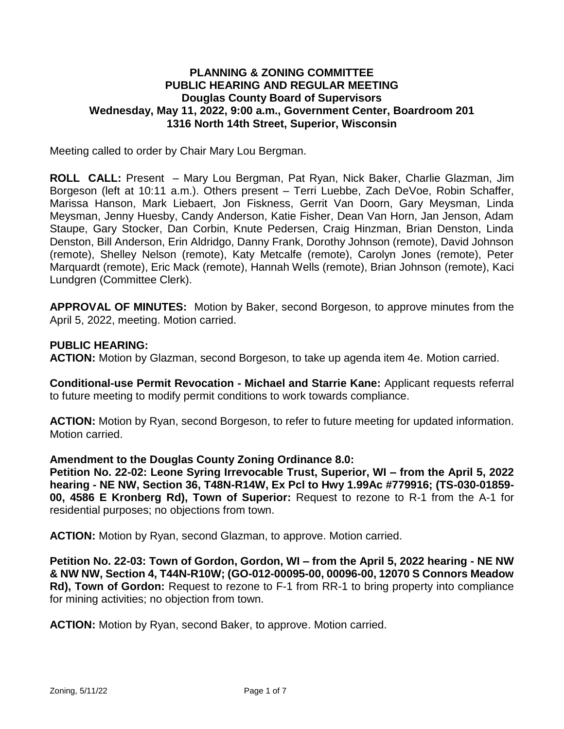## **PLANNING & ZONING COMMITTEE PUBLIC HEARING AND REGULAR MEETING Douglas County Board of Supervisors Wednesday, May 11, 2022, 9:00 a.m., Government Center, Boardroom 201 1316 North 14th Street, Superior, Wisconsin**

Meeting called to order by Chair Mary Lou Bergman.

**ROLL CALL:** Present – Mary Lou Bergman, Pat Ryan, Nick Baker, Charlie Glazman, Jim Borgeson (left at 10:11 a.m.). Others present – Terri Luebbe, Zach DeVoe, Robin Schaffer, Marissa Hanson, Mark Liebaert, Jon Fiskness, Gerrit Van Doorn, Gary Meysman, Linda Meysman, Jenny Huesby, Candy Anderson, Katie Fisher, Dean Van Horn, Jan Jenson, Adam Staupe, Gary Stocker, Dan Corbin, Knute Pedersen, Craig Hinzman, Brian Denston, Linda Denston, Bill Anderson, Erin Aldridgo, Danny Frank, Dorothy Johnson (remote), David Johnson (remote), Shelley Nelson (remote), Katy Metcalfe (remote), Carolyn Jones (remote), Peter Marquardt (remote), Eric Mack (remote), Hannah Wells (remote), Brian Johnson (remote), Kaci Lundgren (Committee Clerk).

**APPROVAL OF MINUTES:** Motion by Baker, second Borgeson, to approve minutes from the April 5, 2022, meeting. Motion carried.

### **PUBLIC HEARING:**

**ACTION:** Motion by Glazman, second Borgeson, to take up agenda item 4e. Motion carried.

**Conditional-use Permit Revocation - Michael and Starrie Kane:** Applicant requests referral to future meeting to modify permit conditions to work towards compliance.

**ACTION:** Motion by Ryan, second Borgeson, to refer to future meeting for updated information. Motion carried.

### **Amendment to the Douglas County Zoning Ordinance 8.0:**

**Petition No. 22-02: Leone Syring Irrevocable Trust, Superior, WI – from the April 5, 2022 hearing - NE NW, Section 36, T48N-R14W, Ex Pcl to Hwy 1.99Ac #779916; (TS-030-01859- 00, 4586 E Kronberg Rd), Town of Superior:** Request to rezone to R-1 from the A-1 for residential purposes; no objections from town.

**ACTION:** Motion by Ryan, second Glazman, to approve. Motion carried.

**Petition No. 22-03: Town of Gordon, Gordon, WI – from the April 5, 2022 hearing - NE NW & NW NW, Section 4, T44N-R10W; (GO-012-00095-00, 00096-00, 12070 S Connors Meadow Rd), Town of Gordon:** Request to rezone to F-1 from RR-1 to bring property into compliance for mining activities; no objection from town.

**ACTION:** Motion by Ryan, second Baker, to approve. Motion carried.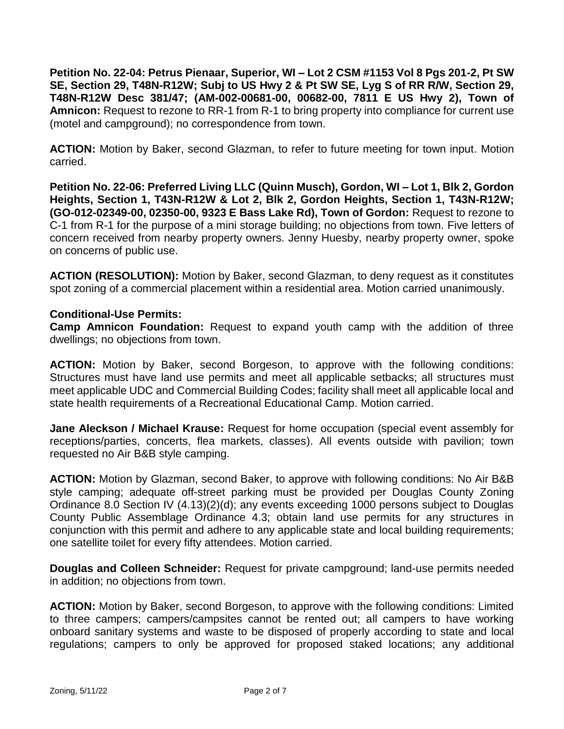**Petition No. 22-04: Petrus Pienaar, Superior, WI – Lot 2 CSM #1153 Vol 8 Pgs 201-2, Pt SW SE, Section 29, T48N-R12W; Subj to US Hwy 2 & Pt SW SE, Lyg S of RR R/W, Section 29, T48N-R12W Desc 381/47; (AM-002-00681-00, 00682-00, 7811 E US Hwy 2), Town of Amnicon:** Request to rezone to RR-1 from R-1 to bring property into compliance for current use (motel and campground); no correspondence from town.

**ACTION:** Motion by Baker, second Glazman, to refer to future meeting for town input. Motion carried.

**Petition No. 22-06: Preferred Living LLC (Quinn Musch), Gordon, WI – Lot 1, Blk 2, Gordon Heights, Section 1, T43N-R12W & Lot 2, Blk 2, Gordon Heights, Section 1, T43N-R12W; (GO-012-02349-00, 02350-00, 9323 E Bass Lake Rd), Town of Gordon:** Request to rezone to C-1 from R-1 for the purpose of a mini storage building; no objections from town. Five letters of concern received from nearby property owners. Jenny Huesby, nearby property owner, spoke on concerns of public use.

**ACTION (RESOLUTION):** Motion by Baker, second Glazman, to deny request as it constitutes spot zoning of a commercial placement within a residential area. Motion carried unanimously.

## **Conditional-Use Permits:**

**Camp Amnicon Foundation:** Request to expand youth camp with the addition of three dwellings; no objections from town.

**ACTION:** Motion by Baker, second Borgeson, to approve with the following conditions: Structures must have land use permits and meet all applicable setbacks; all structures must meet applicable UDC and Commercial Building Codes; facility shall meet all applicable local and state health requirements of a Recreational Educational Camp. Motion carried.

**Jane Aleckson / Michael Krause:** Request for home occupation (special event assembly for receptions/parties, concerts, flea markets, classes). All events outside with pavilion; town requested no Air B&B style camping.

**ACTION:** Motion by Glazman, second Baker, to approve with following conditions: No Air B&B style camping; adequate off-street parking must be provided per Douglas County Zoning Ordinance 8.0 Section IV (4.13)(2)(d); any events exceeding 1000 persons subject to Douglas County Public Assemblage Ordinance 4.3; obtain land use permits for any structures in conjunction with this permit and adhere to any applicable state and local building requirements; one satellite toilet for every fifty attendees. Motion carried.

**Douglas and Colleen Schneider:** Request for private campground; land-use permits needed in addition; no objections from town.

**ACTION:** Motion by Baker, second Borgeson, to approve with the following conditions: Limited to three campers; campers/campsites cannot be rented out; all campers to have working onboard sanitary systems and waste to be disposed of properly according to state and local regulations; campers to only be approved for proposed staked locations; any additional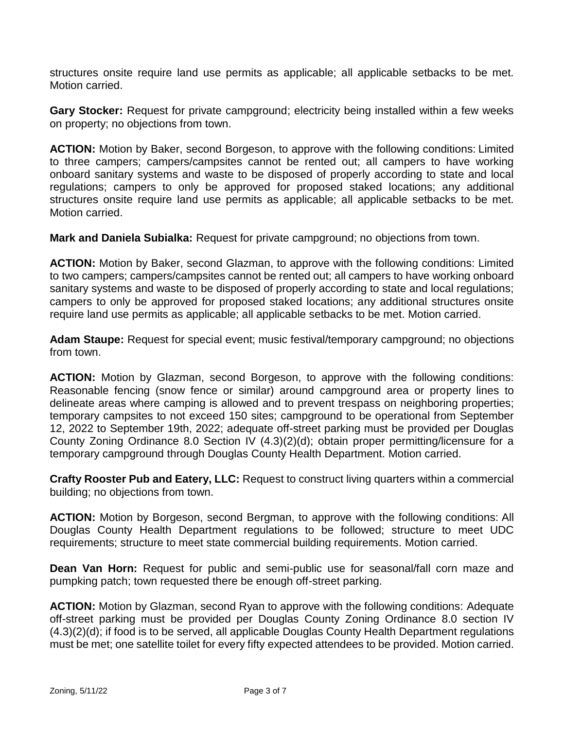structures onsite require land use permits as applicable; all applicable setbacks to be met. Motion carried.

**Gary Stocker:** Request for private campground; electricity being installed within a few weeks on property; no objections from town.

**ACTION:** Motion by Baker, second Borgeson, to approve with the following conditions: Limited to three campers; campers/campsites cannot be rented out; all campers to have working onboard sanitary systems and waste to be disposed of properly according to state and local regulations; campers to only be approved for proposed staked locations; any additional structures onsite require land use permits as applicable; all applicable setbacks to be met. Motion carried.

**Mark and Daniela Subialka:** Request for private campground; no objections from town.

**ACTION:** Motion by Baker, second Glazman, to approve with the following conditions: Limited to two campers; campers/campsites cannot be rented out; all campers to have working onboard sanitary systems and waste to be disposed of properly according to state and local regulations; campers to only be approved for proposed staked locations; any additional structures onsite require land use permits as applicable; all applicable setbacks to be met. Motion carried.

**Adam Staupe:** Request for special event; music festival/temporary campground; no objections from town.

**ACTION:** Motion by Glazman, second Borgeson, to approve with the following conditions: Reasonable fencing (snow fence or similar) around campground area or property lines to delineate areas where camping is allowed and to prevent trespass on neighboring properties; temporary campsites to not exceed 150 sites; campground to be operational from September 12, 2022 to September 19th, 2022; adequate off-street parking must be provided per Douglas County Zoning Ordinance 8.0 Section IV (4.3)(2)(d); obtain proper permitting/licensure for a temporary campground through Douglas County Health Department. Motion carried.

**Crafty Rooster Pub and Eatery, LLC:** Request to construct living quarters within a commercial building; no objections from town.

**ACTION:** Motion by Borgeson, second Bergman, to approve with the following conditions: All Douglas County Health Department regulations to be followed; structure to meet UDC requirements; structure to meet state commercial building requirements. Motion carried.

**Dean Van Horn:** Request for public and semi-public use for seasonal/fall corn maze and pumpking patch; town requested there be enough off-street parking.

**ACTION:** Motion by Glazman, second Ryan to approve with the following conditions: Adequate off-street parking must be provided per Douglas County Zoning Ordinance 8.0 section IV (4.3)(2)(d); if food is to be served, all applicable Douglas County Health Department regulations must be met; one satellite toilet for every fifty expected attendees to be provided. Motion carried.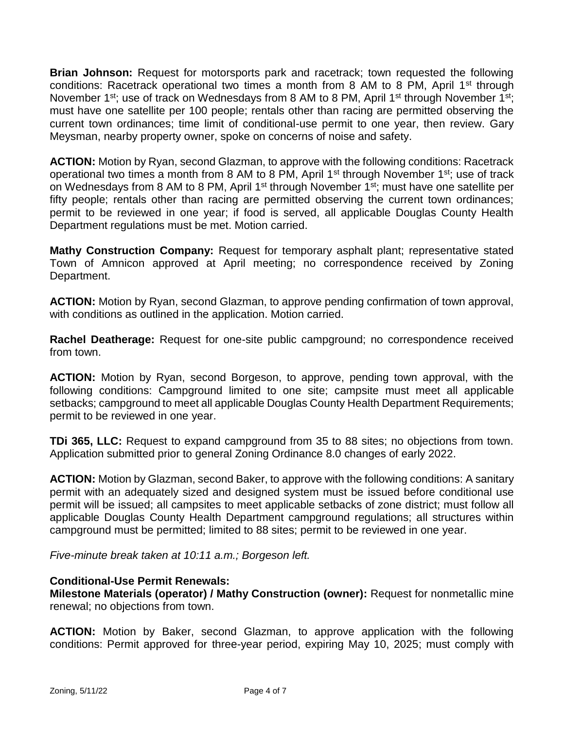**Brian Johnson:** Request for motorsports park and racetrack; town requested the following conditions: Racetrack operational two times a month from 8 AM to 8 PM, April 1<sup>st</sup> through November 1<sup>st</sup>; use of track on Wednesdays from 8 AM to 8 PM, April 1<sup>st</sup> through November 1<sup>st</sup>; must have one satellite per 100 people; rentals other than racing are permitted observing the current town ordinances; time limit of conditional-use permit to one year, then review. Gary Meysman, nearby property owner, spoke on concerns of noise and safety.

**ACTION:** Motion by Ryan, second Glazman, to approve with the following conditions: Racetrack operational two times a month from 8 AM to 8 PM, April 1<sup>st</sup> through November 1<sup>st</sup>; use of track on Wednesdays from 8 AM to 8 PM, April 1<sup>st</sup> through November 1<sup>st</sup>; must have one satellite per fifty people; rentals other than racing are permitted observing the current town ordinances; permit to be reviewed in one year; if food is served, all applicable Douglas County Health Department regulations must be met. Motion carried.

**Mathy Construction Company:** Request for temporary asphalt plant; representative stated Town of Amnicon approved at April meeting; no correspondence received by Zoning Department.

**ACTION:** Motion by Ryan, second Glazman, to approve pending confirmation of town approval, with conditions as outlined in the application. Motion carried.

**Rachel Deatherage:** Request for one-site public campground; no correspondence received from town.

**ACTION:** Motion by Ryan, second Borgeson, to approve, pending town approval, with the following conditions: Campground limited to one site; campsite must meet all applicable setbacks; campground to meet all applicable Douglas County Health Department Requirements; permit to be reviewed in one year.

**TDi 365, LLC:** Request to expand campground from 35 to 88 sites; no objections from town. Application submitted prior to general Zoning Ordinance 8.0 changes of early 2022.

**ACTION:** Motion by Glazman, second Baker, to approve with the following conditions: A sanitary permit with an adequately sized and designed system must be issued before conditional use permit will be issued; all campsites to meet applicable setbacks of zone district; must follow all applicable Douglas County Health Department campground regulations; all structures within campground must be permitted; limited to 88 sites; permit to be reviewed in one year.

*Five-minute break taken at 10:11 a.m.; Borgeson left.*

## **Conditional-Use Permit Renewals:**

**Milestone Materials (operator) / Mathy Construction (owner):** Request for nonmetallic mine renewal; no objections from town.

**ACTION:** Motion by Baker, second Glazman, to approve application with the following conditions: Permit approved for three-year period, expiring May 10, 2025; must comply with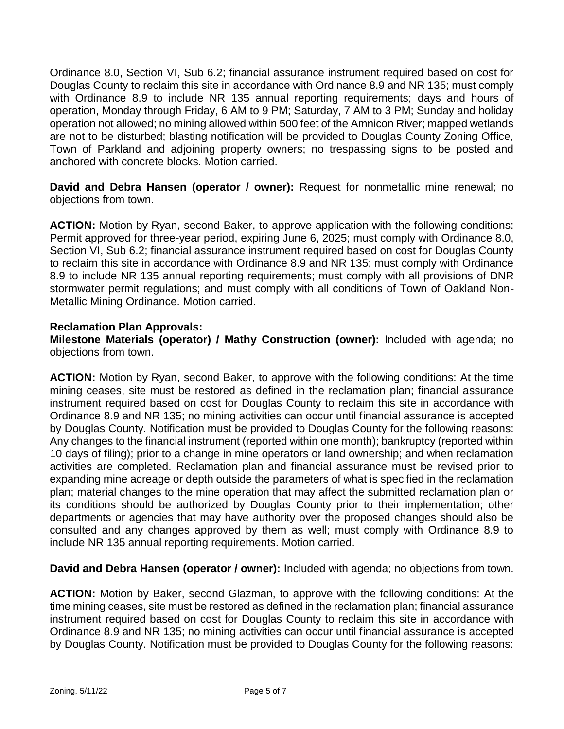Ordinance 8.0, Section VI, Sub 6.2; financial assurance instrument required based on cost for Douglas County to reclaim this site in accordance with Ordinance 8.9 and NR 135; must comply with Ordinance 8.9 to include NR 135 annual reporting requirements; days and hours of operation, Monday through Friday, 6 AM to 9 PM; Saturday, 7 AM to 3 PM; Sunday and holiday operation not allowed; no mining allowed within 500 feet of the Amnicon River; mapped wetlands are not to be disturbed; blasting notification will be provided to Douglas County Zoning Office, Town of Parkland and adjoining property owners; no trespassing signs to be posted and anchored with concrete blocks. Motion carried.

**David and Debra Hansen (operator / owner):** Request for nonmetallic mine renewal; no objections from town.

**ACTION:** Motion by Ryan, second Baker, to approve application with the following conditions: Permit approved for three-year period, expiring June 6, 2025; must comply with Ordinance 8.0, Section VI, Sub 6.2; financial assurance instrument required based on cost for Douglas County to reclaim this site in accordance with Ordinance 8.9 and NR 135; must comply with Ordinance 8.9 to include NR 135 annual reporting requirements; must comply with all provisions of DNR stormwater permit regulations; and must comply with all conditions of Town of Oakland Non-Metallic Mining Ordinance. Motion carried.

## **Reclamation Plan Approvals:**

**Milestone Materials (operator) / Mathy Construction (owner):** Included with agenda; no objections from town.

**ACTION:** Motion by Ryan, second Baker, to approve with the following conditions: At the time mining ceases, site must be restored as defined in the reclamation plan; financial assurance instrument required based on cost for Douglas County to reclaim this site in accordance with Ordinance 8.9 and NR 135; no mining activities can occur until financial assurance is accepted by Douglas County. Notification must be provided to Douglas County for the following reasons: Any changes to the financial instrument (reported within one month); bankruptcy (reported within 10 days of filing); prior to a change in mine operators or land ownership; and when reclamation activities are completed. Reclamation plan and financial assurance must be revised prior to expanding mine acreage or depth outside the parameters of what is specified in the reclamation plan; material changes to the mine operation that may affect the submitted reclamation plan or its conditions should be authorized by Douglas County prior to their implementation; other departments or agencies that may have authority over the proposed changes should also be consulted and any changes approved by them as well; must comply with Ordinance 8.9 to include NR 135 annual reporting requirements. Motion carried.

**David and Debra Hansen (operator / owner):** Included with agenda; no objections from town.

**ACTION:** Motion by Baker, second Glazman, to approve with the following conditions: At the time mining ceases, site must be restored as defined in the reclamation plan; financial assurance instrument required based on cost for Douglas County to reclaim this site in accordance with Ordinance 8.9 and NR 135; no mining activities can occur until financial assurance is accepted by Douglas County. Notification must be provided to Douglas County for the following reasons: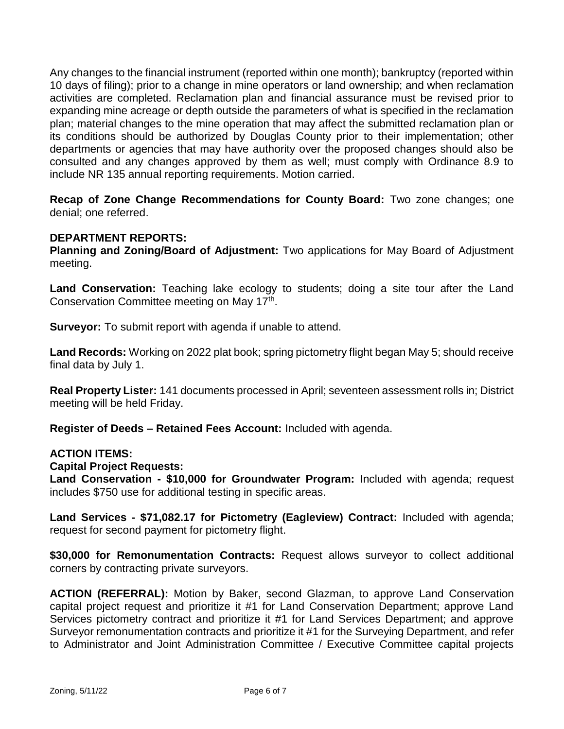Any changes to the financial instrument (reported within one month); bankruptcy (reported within 10 days of filing); prior to a change in mine operators or land ownership; and when reclamation activities are completed. Reclamation plan and financial assurance must be revised prior to expanding mine acreage or depth outside the parameters of what is specified in the reclamation plan; material changes to the mine operation that may affect the submitted reclamation plan or its conditions should be authorized by Douglas County prior to their implementation; other departments or agencies that may have authority over the proposed changes should also be consulted and any changes approved by them as well; must comply with Ordinance 8.9 to include NR 135 annual reporting requirements. Motion carried.

**Recap of Zone Change Recommendations for County Board:** Two zone changes; one denial; one referred.

# **DEPARTMENT REPORTS:**

**Planning and Zoning/Board of Adjustment:** Two applications for May Board of Adjustment meeting.

Land Conservation: Teaching lake ecology to students; doing a site tour after the Land Conservation Committee meeting on May 17<sup>th</sup>.

**Surveyor:** To submit report with agenda if unable to attend.

**Land Records:** Working on 2022 plat book; spring pictometry flight began May 5; should receive final data by July 1.

**Real Property Lister:** 141 documents processed in April; seventeen assessment rolls in; District meeting will be held Friday.

**Register of Deeds – Retained Fees Account:** Included with agenda.

### **ACTION ITEMS:**

**Capital Project Requests:**

**Land Conservation - \$10,000 for Groundwater Program:** Included with agenda; request includes \$750 use for additional testing in specific areas.

**Land Services - \$71,082.17 for Pictometry (Eagleview) Contract:** Included with agenda; request for second payment for pictometry flight.

**\$30,000 for Remonumentation Contracts:** Request allows surveyor to collect additional corners by contracting private surveyors.

**ACTION (REFERRAL):** Motion by Baker, second Glazman, to approve Land Conservation capital project request and prioritize it #1 for Land Conservation Department; approve Land Services pictometry contract and prioritize it #1 for Land Services Department; and approve Surveyor remonumentation contracts and prioritize it #1 for the Surveying Department, and refer to Administrator and Joint Administration Committee / Executive Committee capital projects